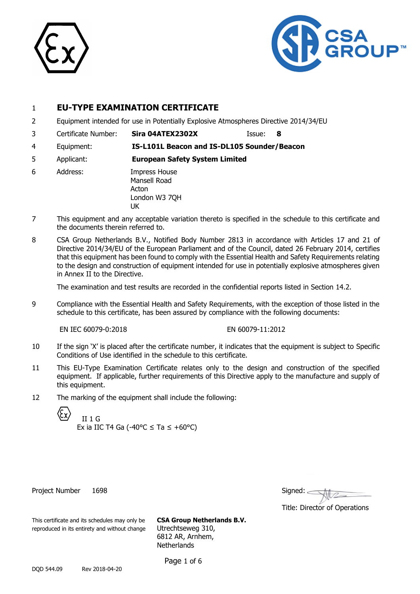



## 1 **EU-TYPE EXAMINATION CERTIFICATE**

- 2 Equipment intended for use in Potentially Explosive Atmospheres Directive 2014/34/EU
- 3 Certificate Number: **Sira 04ATEX2302X** Issue: **8**

4 Equipment: **IS-L101L Beacon and IS-DL105 Sounder/Beacon**

5 Applicant: **European Safety System Limited**

- 6 Address: Impress House Mansell Road Acton London W3 7QH UK
- 7 This equipment and any acceptable variation thereto is specified in the schedule to this certificate and the documents therein referred to.
- 8 CSA Group Netherlands B.V., Notified Body Number 2813 in accordance with Articles 17 and 21 of Directive 2014/34/EU of the European Parliament and of the Council, dated 26 February 2014, certifies that this equipment has been found to comply with the Essential Health and Safety Requirements relating to the design and construction of equipment intended for use in potentially explosive atmospheres given in Annex II to the Directive.

The examination and test results are recorded in the confidential reports listed in Section 14.2.

9 Compliance with the Essential Health and Safety Requirements, with the exception of those listed in the schedule to this certificate, has been assured by compliance with the following documents:

EN IEC 60079-0:2018 EN 60079-11:2012

- 10 If the sign 'X' is placed after the certificate number, it indicates that the equipment is subject to Specific Conditions of Use identified in the schedule to this certificate.
- 11 This EU-Type Examination Certificate relates only to the design and construction of the specified equipment. If applicable, further requirements of this Directive apply to the manufacture and supply of this equipment.
- 12 The marking of the equipment shall include the following:

II 1 G Ex ia IIC T4 Ga (-40 $\degree$ C  $\leq$  Ta  $\leq$  +60 $\degree$ C)

Project Number 1698

| Signed: |  |  |
|---------|--|--|
|         |  |  |

Title: Director of Operations

This certificate and its schedules may only be **CSA Group Netherlands B.V.** reproduced in its entirety and without change Utrechtseweg 310,

6812 AR, Arnhem, **Netherlands** 

Page 1 of 6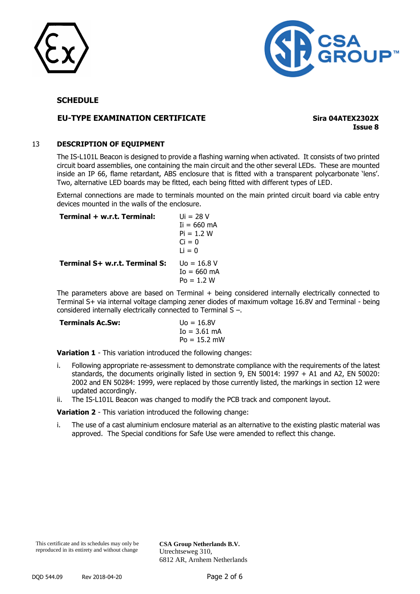



## **EU-TYPE EXAMINATION CERTIFICATE Sira 04ATEX2302X**

**Issue 8**

#### 13 **DESCRIPTION OF EQUIPMENT**

The IS-L101L Beacon is designed to provide a flashing warning when activated. It consists of two printed circuit board assemblies, one containing the main circuit and the other several LEDs. These are mounted inside an IP 66, flame retardant, ABS enclosure that is fitted with a transparent polycarbonate 'lens'. Two, alternative LED boards may be fitted, each being fitted with different types of LED.

External connections are made to terminals mounted on the main printed circuit board via cable entry devices mounted in the walls of the enclosure.

| Terminal + w.r.t. Terminal:    | $U_i = 28 V$<br>$I = 660 \text{ mA}$<br>$Pi = 1.2 W$<br>$Ci = 0$<br>$Li = 0$ |
|--------------------------------|------------------------------------------------------------------------------|
| Terminal S+ w.r.t. Terminal S: | $U_0 = 16.8 V$<br>$I_0 = 660 \text{ mA}$<br>$Po = 1.2 W$                     |

The parameters above are based on Terminal + being considered internally electrically connected to Terminal S+ via internal voltage clamping zener diodes of maximum voltage 16.8V and Terminal - being considered internally electrically connected to Terminal S –.

| <b>Terminals Ac.Sw:</b> | $U_0 = 16.8V$   |
|-------------------------|-----------------|
|                         | $I_0 = 3.61$ mA |
|                         | $Po = 15.2$ mW  |

**Variation 1** - This variation introduced the following changes:

- i. Following appropriate re-assessment to demonstrate compliance with the requirements of the latest standards, the documents originally listed in section 9, EN 50014: 1997 + A1 and A2, EN 50020: 2002 and EN 50284: 1999, were replaced by those currently listed, the markings in section 12 were updated accordingly.
- ii. The IS-L101L Beacon was changed to modify the PCB track and component layout.

**Variation 2** - This variation introduced the following change:

i. The use of a cast aluminium enclosure material as an alternative to the existing plastic material was approved. The Special conditions for Safe Use were amended to reflect this change.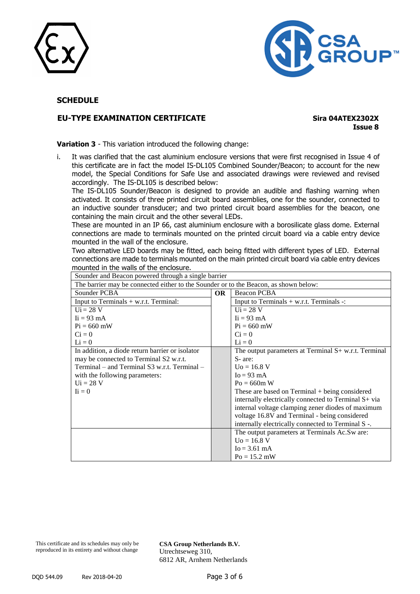



## **EU-TYPE EXAMINATION CERTIFICATE Sira 04ATEX2302X**

**Issue 8**

**Variation 3** - This variation introduced the following change:

i. It was clarified that the cast aluminium enclosure versions that were first recognised in Issue 4 of this certificate are in fact the model IS-DL105 Combined Sounder/Beacon; to account for the new model, the Special Conditions for Safe Use and associated drawings were reviewed and revised accordingly. The IS-DL105 is described below:

The IS-DL105 Sounder/Beacon is designed to provide an audible and flashing warning when activated. It consists of three printed circuit board assemblies, one for the sounder, connected to an inductive sounder transducer; and two printed circuit board assemblies for the beacon, one containing the main circuit and the other several LEDs.

These are mounted in an IP 66, cast aluminium enclosure with a borosilicate glass dome. External connections are made to terminals mounted on the printed circuit board via a cable entry device mounted in the wall of the enclosure.

Two alternative LED boards may be fitted, each being fitted with different types of LED. External connections are made to terminals mounted on the main printed circuit board via cable entry devices mounted in the walls of the enclosure.

| The barrier may be connected either to the Sounder or to the Beacon, as shown below: |           |                                                        |
|--------------------------------------------------------------------------------------|-----------|--------------------------------------------------------|
| Sounder PCBA                                                                         | <b>OR</b> | Beacon PCBA                                            |
| Input to Terminals $+$ w.r.t. Terminal:                                              |           | Input to Terminals $+$ w.r.t. Terminals $-$ :          |
| $U_i = 28 V$                                                                         |           | $Ui = 28 V$                                            |
| $\text{I}$ i = 93 mA                                                                 |           | $\text{I}i = 93 \text{ mA}$                            |
| $Pi = 660$ mW                                                                        |           | $Pi = 660$ mW                                          |
| $Ci = 0$                                                                             |           | $Ci = 0$                                               |
| $Li = 0$                                                                             |           | $Li = 0$                                               |
| In addition, a diode return barrier or isolator                                      |           | The output parameters at Terminal $S+$ w.r.t. Terminal |
| may be connected to Terminal S2 w.r.t.                                               |           | S-are:                                                 |
| $Terminal - and Terminal S3 w.r.t. Terminal -$                                       |           | $U_0 = 16.8 V$                                         |
| with the following parameters:                                                       |           | $I_0 = 93$ mA                                          |
| $Ui = 28 V$                                                                          |           | $Po = 660m$ W                                          |
| $\mathbf{I} \mathbf{i} = 0$                                                          |           | These are based on $Terminal + being considered$       |
|                                                                                      |           | internally electrically connected to Terminal S+ via   |
|                                                                                      |           | internal voltage clamping zener diodes of maximum      |
|                                                                                      |           | voltage 16.8V and Terminal - being considered          |
|                                                                                      |           | internally electrically connected to Terminal S -.     |
|                                                                                      |           | The output parameters at Terminals Ac.Sw are:          |
|                                                                                      |           | $U_0 = 16.8 V$                                         |
|                                                                                      |           | $Io = 3.61$ mA                                         |
|                                                                                      |           | $Po = 15.2$ mW                                         |

Sounder and Beacon powered through a single barrier

This certificate and its schedules may only be reproduced in its entirety and without change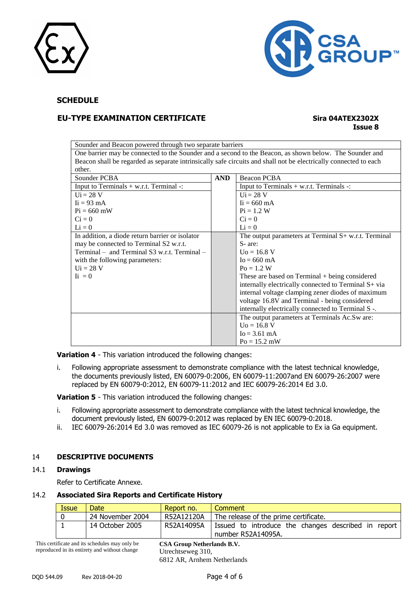



## **EU-TYPE EXAMINATION CERTIFICATE Sira 04ATEX2302X**

# **Issue 8**

Sounder and Beacon powered through two separate barriers One barrier may be connected to the Sounder and a second to the Beacon, as shown below. The Sounder and Beacon shall be regarded as separate intrinsically safe circuits and shall not be electrically connected to each other.

| Sounder PCBA                                    | <b>AND</b> | Beacon PCBA                                            |
|-------------------------------------------------|------------|--------------------------------------------------------|
| Input to Terminals $+$ w.r.t. Terminal -:       |            | Input to Terminals $+$ w.r.t. Terminals $-$ :          |
| $Ui = 28 V$                                     |            | $Ui = 28 V$                                            |
| $\text{I}$ i = 93 mA                            |            | $\text{I}i = 660 \text{ mA}$                           |
| $Pi = 660$ mW                                   |            | $Pi = 1.2 W$                                           |
| $Ci = 0$                                        |            | $Ci = 0$                                               |
| $Li = 0$                                        |            | $Li = 0$                                               |
| In addition, a diode return barrier or isolator |            | The output parameters at Terminal $S+$ w.r.t. Terminal |
| may be connected to Terminal S2 w.r.t.          |            | S- are:                                                |
| $Terminal - and Terminal S3 w.r.t. Terminal -$  |            | $U_0 = 16.8 V$                                         |
| with the following parameters:                  |            | $I_0 = 660$ mA                                         |
| $Ui = 28 V$                                     |            | $Po = 1.2 W$                                           |
| $\mathbf{I} \mathbf{i} = 0$                     |            | These are based on $Terminal + being considered$       |
|                                                 |            | internally electrically connected to Terminal S+ via   |
|                                                 |            | internal voltage clamping zener diodes of maximum      |
|                                                 |            | voltage 16.8V and Terminal - being considered          |
|                                                 |            | internally electrically connected to Terminal S -.     |
|                                                 |            | The output parameters at Terminals Ac.Sw are:          |
|                                                 |            | $U_0 = 16.8 V$                                         |
|                                                 |            | $Io = 3.61$ mA                                         |
|                                                 |            | $Po = 15.2$ mW                                         |

**Variation 4** - This variation introduced the following changes:

i. Following appropriate assessment to demonstrate compliance with the latest technical knowledge, the documents previously listed, EN 60079-0:2006, EN 60079-11:2007and EN 60079-26:2007 were replaced by EN 60079-0:2012, EN 60079-11:2012 and IEC 60079-26:2014 Ed 3.0.

**Variation 5** - This variation introduced the following changes:

- i. Following appropriate assessment to demonstrate compliance with the latest technical knowledge, the document previously listed, EN 60079-0:2012 was replaced by EN IEC 60079-0:2018.
- ii. IEC 60079-26:2014 Ed 3.0 was removed as IEC 60079-26 is not applicable to Ex ia Ga equipment.

#### 14 **DESCRIPTIVE DOCUMENTS**

#### 14.1 **Drawings**

Refer to Certificate Annexe.

#### 14.2 **Associated Sira Reports and Certificate History**

| Issue | Date.            | Report no. | Comment                                                                   |
|-------|------------------|------------|---------------------------------------------------------------------------|
|       | 24 November 2004 | R52A12120A | The release of the prime certificate.                                     |
|       | 14 October 2005  | R52A14095A | Issued to introduce the changes described in report<br>number R52A14095A. |

This certificate and its schedules may only be reproduced in its entirety and without change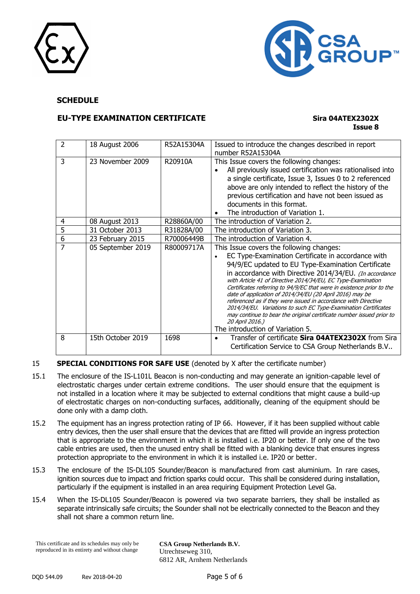



## **EU-TYPE EXAMINATION CERTIFICATE Sira 04ATEX2302X**

## **Issue 8**

| 2 | 18 August 2006    | R52A15304A | Issued to introduce the changes described in report<br>number R52A15304A                                                                                                                                                                                                                                                                                                                                                                                                                                                                                                                                                                                                                 |
|---|-------------------|------------|------------------------------------------------------------------------------------------------------------------------------------------------------------------------------------------------------------------------------------------------------------------------------------------------------------------------------------------------------------------------------------------------------------------------------------------------------------------------------------------------------------------------------------------------------------------------------------------------------------------------------------------------------------------------------------------|
| 3 | 23 November 2009  | R20910A    | This Issue covers the following changes:<br>All previously issued certification was rationalised into<br>a single certificate, Issue 3, Issues 0 to 2 referenced<br>above are only intended to reflect the history of the<br>previous certification and have not been issued as<br>documents in this format.<br>The introduction of Variation 1.                                                                                                                                                                                                                                                                                                                                         |
| 4 | 08 August 2013    | R28860A/00 | The introduction of Variation 2.                                                                                                                                                                                                                                                                                                                                                                                                                                                                                                                                                                                                                                                         |
| 5 | 31 October 2013   | R31828A/00 | The introduction of Variation 3.                                                                                                                                                                                                                                                                                                                                                                                                                                                                                                                                                                                                                                                         |
| 6 | 23 February 2015  | R70006449B | The introduction of Variation 4.                                                                                                                                                                                                                                                                                                                                                                                                                                                                                                                                                                                                                                                         |
| 7 | 05 September 2019 | R80009717A | This Issue covers the following changes:<br>EC Type-Examination Certificate in accordance with<br>94/9/EC updated to EU Type-Examination Certificate<br>in accordance with Directive 2014/34/EU. (In accordance<br>with Article 41 of Directive 2014/34/EU, EC Type-Examination<br>Certificates referring to 94/9/EC that were in existence prior to the<br>date of application of 2014/34/EU (20 April 2016) may be<br>referenced as if they were issued in accordance with Directive<br>2014/34/EU. Variations to such EC Type-Examination Certificates<br>may continue to bear the original certificate number issued prior to<br>20 April 2016.)<br>The introduction of Variation 5. |
| 8 | 15th October 2019 | 1698       | Transfer of certificate Sira 04ATEX2302X from Sira<br>Certification Service to CSA Group Netherlands B.V                                                                                                                                                                                                                                                                                                                                                                                                                                                                                                                                                                                 |

#### 15 **SPECIAL CONDITIONS FOR SAFE USE** (denoted by X after the certificate number)

- 15.1 The enclosure of the IS-L101L Beacon is non-conducting and may generate an ignition-capable level of electrostatic charges under certain extreme conditions. The user should ensure that the equipment is not installed in a location where it may be subjected to external conditions that might cause a build-up of electrostatic charges on non-conducting surfaces, additionally, cleaning of the equipment should be done only with a damp cloth.
- 15.2 The equipment has an ingress protection rating of IP 66. However, if it has been supplied without cable entry devices, then the user shall ensure that the devices that are fitted will provide an ingress protection that is appropriate to the environment in which it is installed i.e. IP20 or better. If only one of the two cable entries are used, then the unused entry shall be fitted with a blanking device that ensures ingress protection appropriate to the environment in which it is installed i.e. IP20 or better.
- 15.3 The enclosure of the IS-DL105 Sounder/Beacon is manufactured from cast aluminium. In rare cases, ignition sources due to impact and friction sparks could occur. This shall be considered during installation, particularly if the equipment is installed in an area requiring Equipment Protection Level Ga.
- 15.4 When the IS-DL105 Sounder/Beacon is powered via two separate barriers, they shall be installed as separate intrinsically safe circuits; the Sounder shall not be electrically connected to the Beacon and they shall not share a common return line.

This certificate and its schedules may only be reproduced in its entirety and without change **CSA Group Netherlands B.V.** Utrechtseweg 310, 6812 AR, Arnhem Netherlands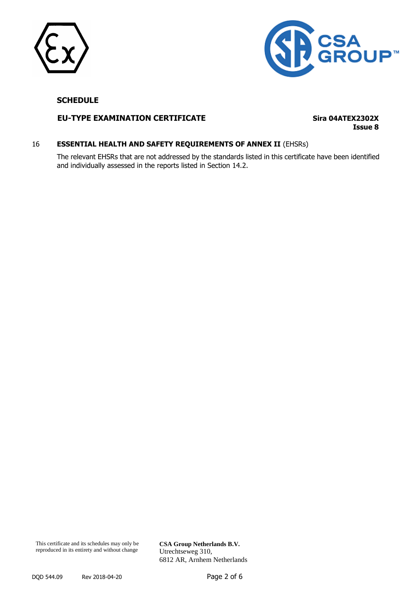



#### **EU-TYPE EXAMINATION CERTIFICATE Sira 04ATEX2302X**

**Issue 8**

#### 16 **ESSENTIAL HEALTH AND SAFETY REQUIREMENTS OF ANNEX II** (EHSRs)

The relevant EHSRs that are not addressed by the standards listed in this certificate have been identified and individually assessed in the reports listed in Section 14.2.